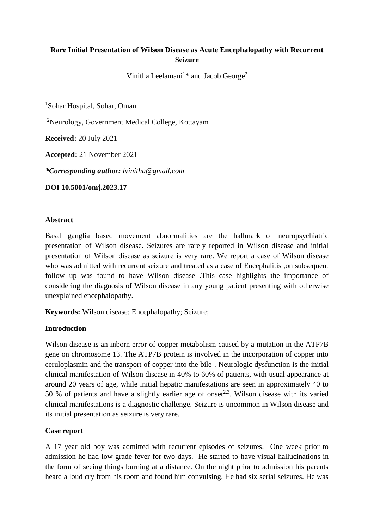# **Rare Initial Presentation of Wilson Disease as Acute Encephalopathy with Recurrent Seizure**

Vinitha Leelamani<sup>1\*</sup> and Jacob George<sup>2</sup>

<sup>1</sup>Sohar Hospital, Sohar, Oman

<sup>2</sup>Neurology, Government Medical College, Kottayam

**Received:** 20 July 2021

**Accepted:** 21 November 2021

*\*Corresponding author: lvinitha@gmail.com*

**DOI 10.5001/omj.2023.17**

#### **Abstract**

Basal ganglia based movement abnormalities are the hallmark of neuropsychiatric presentation of Wilson disease. Seizures are rarely reported in Wilson disease and initial presentation of Wilson disease as seizure is very rare. We report a case of Wilson disease who was admitted with recurrent seizure and treated as a case of Encephalitis ,on subsequent follow up was found to have Wilson disease .This case highlights the importance of considering the diagnosis of Wilson disease in any young patient presenting with otherwise unexplained encephalopathy.

**Keywords:** Wilson disease; Encephalopathy; Seizure;

### **Introduction**

Wilson disease is an inborn error of copper metabolism caused by a mutation in the ATP7B gene on chromosome 13. The ATP7B protein is involved in the incorporation of copper into ceruloplasmin and the transport of copper into the bile<sup>1</sup>. Neurologic dysfunction is the initial clinical manifestation of Wilson disease in 40% to 60% of patients, with usual appearance at around 20 years of age, while initial hepatic manifestations are seen in approximately 40 to 50 % of patients and have a slightly earlier age of onset<sup>2,3</sup>. Wilson disease with its varied clinical manifestations is a diagnostic challenge. Seizure is uncommon in Wilson disease and its initial presentation as seizure is very rare.

### **Case report**

A 17 year old boy was admitted with recurrent episodes of seizures. One week prior to admission he had low grade fever for two days. He started to have visual hallucinations in the form of seeing things burning at a distance. On the night prior to admission his parents heard a loud cry from his room and found him convulsing. He had six serial seizures. He was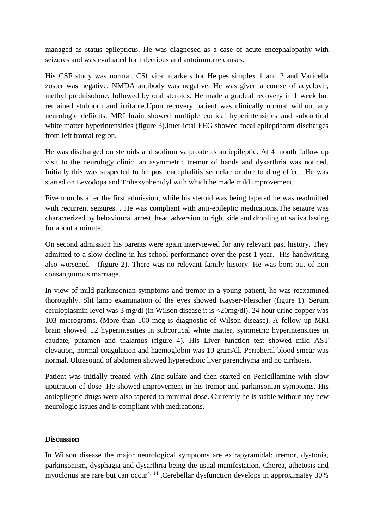managed as status epilepticus. He was diagnosed as a case of acute encephalopathy with seizures and was evaluated for infectious and autoimmune causes.

His CSF study was normal. CSf viral markers for Herpes simplex 1 and 2 and Varicella zoster was negative. NMDA antibody was negative. He was given a course of acyclovir, methyl prednisolone, followed by oral steroids. He made a gradual recovery in 1 week but remained stubborn and irritable.Upon recovery patient was clinically normal without any neurologic defiicits. MRI brain showed multiple cortical hyperintensities and subcortical white matter hyperintensities (figure 3). Inter ictal EEG showed focal epileptiform discharges from left frontal region.

He was discharged on steroids and sodium valproate as antiepileptic. At 4 month follow up visit to the neurology clinic, an asymmetric tremor of hands and dysarthria was noticed. Initially this was suspected to be post encephalitis sequelae or due to drug effect .He was started on Levodopa and Trihexyphenidyl with which he made mild improvement.

Five months after the first admission, while his steroid was being tapered he was readmitted with recurrent seizures. . He was compliant with anti-epileptic medications.The seizure was characterized by behavioural arrest, head adversion to right side and drooling of saliva lasting for about a minute.

On second admission his parents were again interviewed for any relevant past history. They admitted to a slow decline in his school performance over the past 1 year. His handwriting also worsened (figure 2). There was no relevant family history. He was born out of non consanguinous marriage.

In view of mild parkinsonian symptoms and tremor in a young patient, he was reexamined thoroughly. Slit lamp examination of the eyes showed Kayser-Fleischer (figure 1). Serum ceruloplasmin level was 3 mg/dl (in Wilson disease it is <20mg/dl), 24 hour urine copper was 103 micrograms. (More than 100 mcg is diagnostic of Wilson disease). A follow up MRI brain showed T2 hyperintesities in subcortical white matter, symmetric hyperintensities in caudate, putamen and thalamus (figure 4). His Liver function test showed mild AST elevation, normal coagulation and haemoglobin was 10 gram/dl. Peripheral blood smear was normal. Ultrasound of abdomen showed hyperechoic liver parenchyma and no cirrhosis.

Patient was initially treated with Zinc sulfate and then started on Penicillamine with slow uptitration of dose .He showed improvement in his tremor and parkinsonian symptoms. His antiepileptic drugs were also tapered to minimal dose. Currently he is stable without any new neurologic issues and is compliant with medications.

### **Discussion**

In Wilson disease the major neurological symptoms are extrapyramidal; tremor, dystonia, parkinsonism, dysphagia and dysarthria being the usual manifestation. Chorea, athetosis and myoclonus are rare but can occur<sup>4, 14</sup> .Cerebellar dysfunction develops in approximatey  $30\%$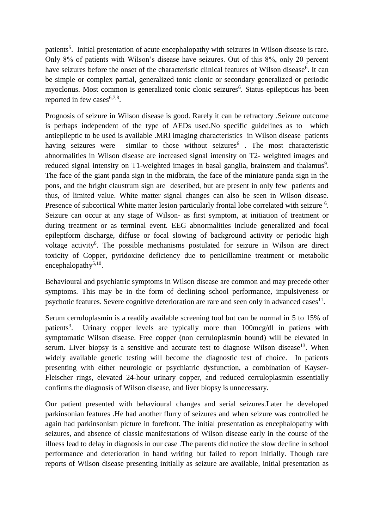patients<sup>5</sup>. Initial presentation of acute encephalopathy with seizures in Wilson disease is rare. Only 8% of patients with Wilson's disease have seizures. Out of this 8%, only 20 percent have seizures before the onset of the characteristic clinical features of Wilson disease<sup>6</sup>. It can be simple or complex partial, generalized tonic clonic or secondary generalized or periodic myoclonus. Most common is generalized tonic clonic seizures<sup>6</sup>. Status epilepticus has been reported in few cases $6,7,8$ .

Prognosis of seizure in Wilson disease is good. Rarely it can be refractory .Seizure outcome is perhaps independent of the type of AEDs used.No specific guidelines as to which antiepileptic to be used is available .MRI imaging characteristics in Wilson disease patients having seizures were similar to those without seizures<sup>6</sup>. The most characteristic abnormalities in Wilson disease are increased signal intensity on T2- weighted images and reduced signal intensity on T1-weighted images in basal ganglia, brainstem and thalamus<sup>9</sup>. The face of the giant panda sign in the midbrain, the face of the miniature panda sign in the pons, and the bright claustrum sign are described, but are present in only few patients and thus, of limited value. White matter signal changes can also be seen in Wilson disease. Presence of subcortical White matter lesion particularly frontal lobe correlated with seizure <sup>6</sup>. Seizure can occur at any stage of Wilson- as first symptom, at initiation of treatment or during treatment or as terminal event. EEG abnormalities include generalized and focal epileptform discharge, diffuse or focal slowing of background activity or periodic high voltage activity<sup>6</sup>. The possible mechanisms postulated for seizure in Wilson are direct toxicity of Copper, pyridoxine deficiency due to penicillamine treatment or metabolic encephalopathy<sup>5,10</sup>.

Behavioural and psychiatric symptoms in Wilson disease are common and may precede other symptoms. This may be in the form of declining school performance, impulsiveness or psychotic features. Severe cognitive deterioration are rare and seen only in advanced cases $^{11}$ .

Serum cerruloplasmin is a readily available screening tool but can be normal in 5 to 15% of patients<sup>3</sup>. Urinary copper levels are typically more than 100mcg/dl in patiens with symptomatic Wilson disease. Free copper (non cerruloplasmin bound) will be elevated in serum. Liver biopsy is a sensitive and accurate test to diagnose Wilson disease<sup>13</sup>. When widely available genetic testing will become the diagnostic test of choice. In patients presenting with either neurologic or psychiatric dysfunction, a combination of Kayser-Fleischer rings, elevated 24-hour urinary copper, and reduced cerruloplasmin essentially confirms the diagnosis of Wilson disease, and liver biopsy is unnecessary.

Our patient presented with behavioural changes and serial seizures.Later he developed parkinsonian features .He had another flurry of seizures and when seizure was controlled he again had parkinsonism picture in forefront. The initial presentation as encephalopathy with seizures, and absence of classic manifestations of Wilson disease early in the course of the illness lead to delay in diagnosis in our case .The parents did notice the slow decline in school performance and deterioration in hand writing but failed to report initially. Though rare reports of Wilson disease presenting initially as seizure are available, initial presentation as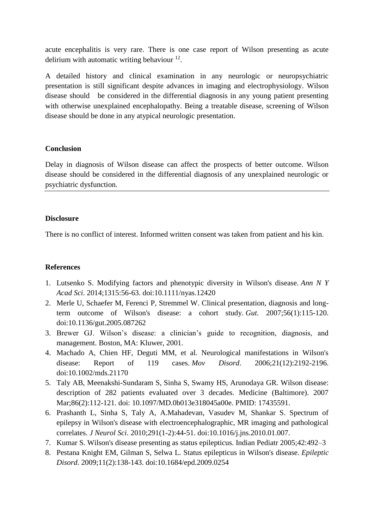acute encephalitis is very rare. There is one case report of Wilson presenting as acute delirium with automatic writing behaviour  $12$ .

A detailed history and clinical examination in any neurologic or neuropsychiatric presentation is still significant despite advances in imaging and electrophysiology. Wilson disease should be considered in the differential diagnosis in any young patient presenting with otherwise unexplained encephalopathy. Being a treatable disease, screening of Wilson disease should be done in any atypical neurologic presentation.

## **Conclusion**

Delay in diagnosis of Wilson disease can affect the prospects of better outcome. Wilson disease should be considered in the differential diagnosis of any unexplained neurologic or psychiatric dysfunction.

## **Disclosure**

There is no conflict of interest. Informed written consent was taken from patient and his kin.

## **References**

- 1. Lutsenko S. Modifying factors and phenotypic diversity in Wilson's disease. *Ann N Y Acad Sci*. 2014;1315:56-63. doi:10.1111/nyas.12420
- 2. Merle U, Schaefer M, Ferenci P, Stremmel W. Clinical presentation, diagnosis and longterm outcome of Wilson's disease: a cohort study. *Gut*. 2007;56(1):115-120. doi:10.1136/gut.2005.087262
- 3. Brewer GJ. Wilson's disease: a clinician's guide to recognition, diagnosis, and management. Boston, MA: Kluwer, 2001.
- 4. Machado A, Chien HF, Deguti MM, et al. Neurological manifestations in Wilson's disease: Report of 119 cases. *Mov Disord*. 2006;21(12):2192-2196. doi:10.1002/mds.21170
- 5. Taly AB, Meenakshi-Sundaram S, Sinha S, Swamy HS, Arunodaya GR. Wilson disease: description of 282 patients evaluated over 3 decades. Medicine (Baltimore). 2007 Mar;86(2):112-121. doi: 10.1097/MD.0b013e318045a00e. PMID: 17435591.
- 6. Prashanth L, Sinha S, Taly A, A.Mahadevan, Vasudev M, Shankar S. Spectrum of epilepsy in Wilson's disease with electroencephalographic, MR imaging and pathological correlates. *J Neurol Sci*. 2010;291(1-2):44-51. doi:10.1016/j.jns.2010.01.007.
- 7. Kumar S. Wilson's disease presenting as status epilepticus. Indian Pediatr 2005;42:492–3
- 8. Pestana Knight EM, Gilman S, Selwa L. Status epilepticus in Wilson's disease. *Epileptic Disord*. 2009;11(2):138-143. doi:10.1684/epd.2009.0254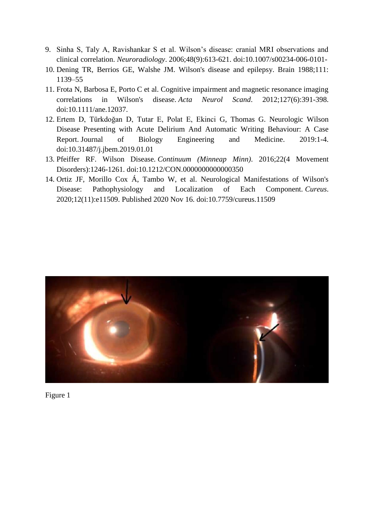- 9. Sinha S, Taly A, Ravishankar S et al. Wilson's disease: cranial MRI observations and clinical correlation. *Neuroradiology*. 2006;48(9):613-621. doi:10.1007/s00234-006-0101-
- 10. Dening TR, Berrios GE, Walshe JM. Wilson's disease and epilepsy. Brain 1988;111: 1139–55
- 11. Frota N, Barbosa E, Porto C et al. Cognitive impairment and magnetic resonance imaging correlations in Wilson's disease. *Acta Neurol Scand*. 2012;127(6):391-398. doi:10.1111/ane.12037.
- 12. Ertem D, Türkdoğan D, Tutar E, Polat E, Ekinci G, Thomas G. Neurologic Wilson Disease Presenting with Acute Delirium And Automatic Writing Behaviour: A Case Report. Journal of Biology Engineering and Medicine. 2019:1-4. doi:10.31487/j.jbem.2019.01.01
- 13. Pfeiffer RF. Wilson Disease. *Continuum (Minneap Minn)*. 2016;22(4 Movement Disorders):1246-1261. doi:10.1212/CON.0000000000000350
- 14. Ortiz JF, Morillo Cox Á, Tambo W, et al. Neurological Manifestations of Wilson's Disease: Pathophysiology and Localization of Each Component. *Cureus*. 2020;12(11):e11509. Published 2020 Nov 16. doi:10.7759/cureus.11509



Figure 1